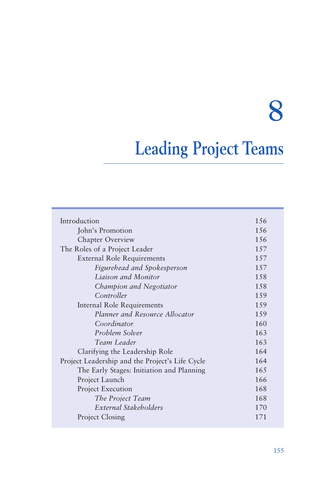# **8**

# **Leading Project Teams**

| Introduction                                    | 1.56 |
|-------------------------------------------------|------|
| John's Promotion                                | 1.56 |
| <b>Chapter Overview</b>                         | 156  |
| The Roles of a Project Leader                   | 157  |
| <b>External Role Requirements</b>               | 1.57 |
| Figurehead and Spokesperson                     | 1.57 |
| Liaison and Monitor                             | 158  |
| Champion and Negotiator                         | 158  |
| Controller                                      | 159  |
| Internal Role Requirements                      | 159  |
| Planner and Resource Allocator                  | 1.59 |
| Coordinator                                     | 160  |
| Problem Solver                                  | 163  |
| Team Leader                                     | 163  |
| Clarifying the Leadership Role                  | 164  |
| Project Leadership and the Project's Life Cycle | 164  |
| The Early Stages: Initiation and Planning       | 165  |
| Project Launch                                  | 166  |
| Project Execution                               | 168  |
| The Project Team                                | 168  |
| External Stakeholders                           | 170  |
| Project Closing                                 | 171  |
|                                                 |      |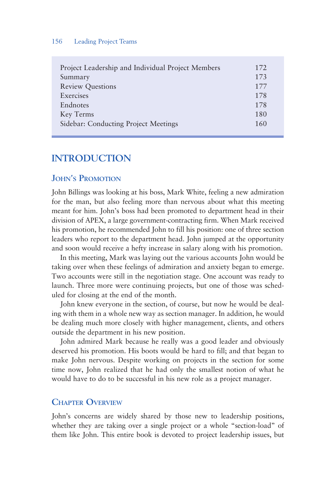| Project Leadership and Individual Project Members | 172 |
|---------------------------------------------------|-----|
| Summary                                           | 173 |
| <b>Review Questions</b>                           | 177 |
| Exercises                                         | 178 |
| Endnotes                                          | 178 |
| Key Terms                                         | 180 |
| Sidebar: Conducting Project Meetings              | 160 |

# **INTRODUCTION**

# **John's Promotion**

John Billings was looking at his boss, Mark White, feeling a new admiration for the man, but also feeling more than nervous about what this meeting meant for him. John's boss had been promoted to department head in their division of APEX, a large government-contracting firm. When Mark received his promotion, he recommended John to fill his position: one of three section leaders who report to the department head. John jumped at the opportunity and soon would receive a hefty increase in salary along with his promotion.

In this meeting, Mark was laying out the various accounts John would be taking over when these feelings of admiration and anxiety began to emerge. Two accounts were still in the negotiation stage. One account was ready to launch. Three more were continuing projects, but one of those was scheduled for closing at the end of the month.

John knew everyone in the section, of course, but now he would be dealing with them in a whole new way as section manager. In addition, he would be dealing much more closely with higher management, clients, and others outside the department in his new position.

John admired Mark because he really was a good leader and obviously deserved his promotion. His boots would be hard to fill; and that began to make John nervous. Despite working on projects in the section for some time now, John realized that he had only the smallest notion of what he would have to do to be successful in his new role as a project manager.

# **Chapter Overview**

John's concerns are widely shared by those new to leadership positions, whether they are taking over a single project or a whole "section-load" of them like John. This entire book is devoted to project leadership issues, but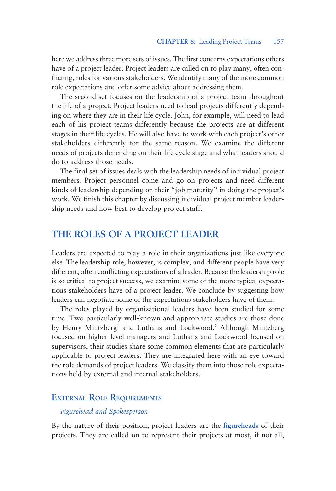here we address three more sets of issues. The first concerns expectations others have of a project leader. Project leaders are called on to play many, often conflicting, roles for various stakeholders. We identify many of the more common role expectations and offer some advice about addressing them.

The second set focuses on the leadership of a project team throughout the life of a project. Project leaders need to lead projects differently depending on where they are in their life cycle. John, for example, will need to lead each of his project teams differently because the projects are at different stages in their life cycles. He will also have to work with each project's other stakeholders differently for the same reason. We examine the different needs of projects depending on their life cycle stage and what leaders should do to address those needs.

The final set of issues deals with the leadership needs of individual project members. Project personnel come and go on projects and need different kinds of leadership depending on their "job maturity" in doing the project's work. We finish this chapter by discussing individual project member leadership needs and how best to develop project staff.

# **THE ROLES OF A PROJECT LEADER**

Leaders are expected to play a role in their organizations just like everyone else. The leadership role, however, is complex, and different people have very different, often conflicting expectations of a leader. Because the leadership role is so critical to project success, we examine some of the more typical expectations stakeholders have of a project leader. We conclude by suggesting how leaders can negotiate some of the expectations stakeholders have of them.

The roles played by organizational leaders have been studied for some time. Two particularly well-known and appropriate studies are those done by Henry Mintzberg<sup>1</sup> and Luthans and Lockwood.<sup>2</sup> Although Mintzberg focused on higher level managers and Luthans and Lockwood focused on supervisors, their studies share some common elements that are particularly applicable to project leaders. They are integrated here with an eye toward the role demands of project leaders. We classify them into those role expectations held by external and internal stakeholders.

# **External Role Requirements**

# *Figurehead and Spokesperson*

By the nature of their position, project leaders are the **figureheads** of their projects. They are called on to represent their projects at most, if not all,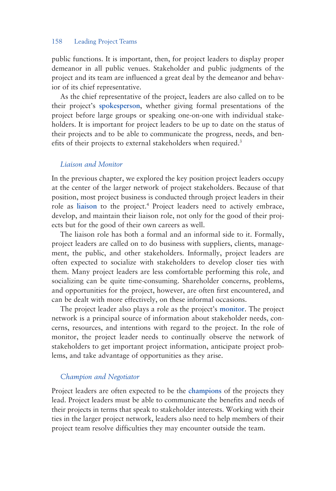public functions. It is important, then, for project leaders to display proper demeanor in all public venues. Stakeholder and public judgments of the project and its team are influenced a great deal by the demeanor and behavior of its chief representative.

As the chief representative of the project, leaders are also called on to be their project's **spokesperson**, whether giving formal presentations of the project before large groups or speaking one-on-one with individual stakeholders. It is important for project leaders to be up to date on the status of their projects and to be able to communicate the progress, needs, and benefits of their projects to external stakeholders when required.<sup>3</sup>

# *Liaison and Monitor*

In the previous chapter, we explored the key position project leaders occupy at the center of the larger network of project stakeholders. Because of that position, most project business is conducted through project leaders in their role as liaison to the project.<sup>4</sup> Project leaders need to actively embrace, develop, and maintain their liaison role, not only for the good of their projects but for the good of their own careers as well.

The liaison role has both a formal and an informal side to it. Formally, project leaders are called on to do business with suppliers, clients, management, the public, and other stakeholders. Informally, project leaders are often expected to socialize with stakeholders to develop closer ties with them. Many project leaders are less comfortable performing this role, and socializing can be quite time-consuming. Shareholder concerns, problems, and opportunities for the project, however, are often first encountered, and can be dealt with more effectively, on these informal occasions.

The project leader also plays a role as the project's **monitor**. The project network is a principal source of information about stakeholder needs, concerns, resources, and intentions with regard to the project. In the role of monitor, the project leader needs to continually observe the network of stakeholders to get important project information, anticipate project problems, and take advantage of opportunities as they arise.

# *Champion and Negotiator*

Project leaders are often expected to be the **champions** of the projects they lead. Project leaders must be able to communicate the benefits and needs of their projects in terms that speak to stakeholder interests. Working with their ties in the larger project network, leaders also need to help members of their project team resolve difficulties they may encounter outside the team.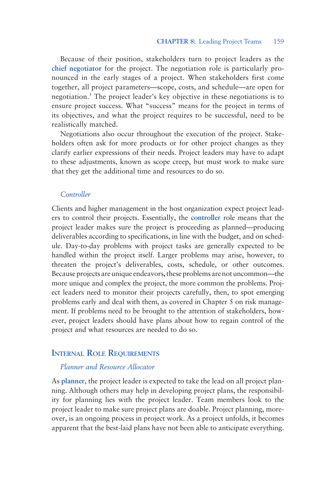Because of their position, stakeholders turn to project leaders as the **chief negotiator** for the project. The negotiation role is particularly pronounced in the early stages of a project. When stakeholders first come together, all project parameters—scope, costs, and schedule—are open for negotiation.5 The project leader's key objective in these negotiations is to ensure project success. What "success" means for the project in terms of its objectives, and what the project requires to be successful, need to be realistically matched.

Negotiations also occur throughout the execution of the project. Stakeholders often ask for more products or for other project changes as they clarify earlier expressions of their needs. Project leaders may have to adapt to these adjustments, known as scope creep, but must work to make sure that they get the additional time and resources to do so.

# *Controller*

Clients and higher management in the host organization expect project leaders to control their projects. Essentially, the **controller** role means that the project leader makes sure the project is proceeding as planned—producing deliverables according to specifications, in line with the budget, and on schedule. Day-to-day problems with project tasks are generally expected to be handled within the project itself. Larger problems may arise, however, to threaten the project's deliverables, costs, schedule, or other outcomes. Because projects are unique endeavors, these problems are not uncommon—the more unique and complex the project, the more common the problems. Project leaders need to monitor their projects carefully, then, to spot emerging problems early and deal with them, as covered in Chapter 5 on risk management. If problems need to be brought to the attention of stakeholders, however, project leaders should have plans about how to regain control of the project and what resources are needed to do so.

# **Internal Role Requirements**

# *Planner and Resource Allocator*

As **planner**, the project leader is expected to take the lead on all project planning. Although others may help in developing project plans, the responsibility for planning lies with the project leader. Team members look to the project leader to make sure project plans are doable. Project planning, moreover, is an ongoing process in project work. As a project unfolds, it becomes apparent that the best-laid plans have not been able to anticipate everything.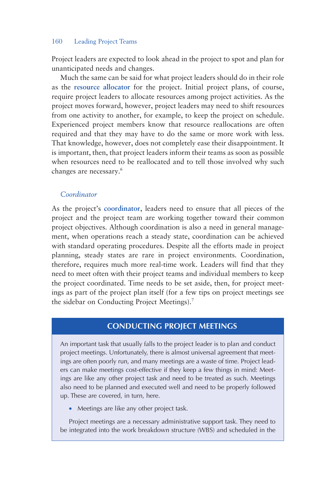Project leaders are expected to look ahead in the project to spot and plan for unanticipated needs and changes.

Much the same can be said for what project leaders should do in their role as the **resource allocator** for the project. Initial project plans, of course, require project leaders to allocate resources among project activities. As the project moves forward, however, project leaders may need to shift resources from one activity to another, for example, to keep the project on schedule. Experienced project members know that resource reallocations are often required and that they may have to do the same or more work with less. That knowledge, however, does not completely ease their disappointment. It is important, then, that project leaders inform their teams as soon as possible when resources need to be reallocated and to tell those involved why such changes are necessary.<sup>6</sup>

# *Coordinator*

As the project's **coordinator**, leaders need to ensure that all pieces of the project and the project team are working together toward their common project objectives. Although coordination is also a need in general management, when operations reach a steady state, coordination can be achieved with standard operating procedures. Despite all the efforts made in project planning, steady states are rare in project environments. Coordination, therefore, requires much more real-time work. Leaders will find that they need to meet often with their project teams and individual members to keep the project coordinated. Time needs to be set aside, then, for project meetings as part of the project plan itself (for a few tips on project meetings see the sidebar on Conducting Project Meetings).7

# **CONDUCTING PROJECT MEETINGS**

An important task that usually falls to the project leader is to plan and conduct project meetings. Unfortunately, there is almost universal agreement that meetings are often poorly run, and many meetings are a waste of time. Project leaders can make meetings cost-effective if they keep a few things in mind: Meetings are like any other project task and need to be treated as such. Meetings also need to be planned and executed well and need to be properly followed up. These are covered, in turn, here.

• Meetings are like any other project task.

Project meetings are a necessary administrative support task. They need to be integrated into the work breakdown structure (WBS) and scheduled in the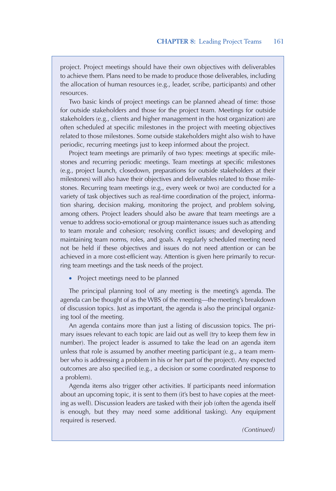project. Project meetings should have their own objectives with deliverables to achieve them. Plans need to be made to produce those deliverables, including the allocation of human resources (e.g., leader, scribe, participants) and other resources.

Two basic kinds of project meetings can be planned ahead of time: those for outside stakeholders and those for the project team. Meetings for outside stakeholders (e.g., clients and higher management in the host organization) are often scheduled at specific milestones in the project with meeting objectives related to those milestones. Some outside stakeholders might also wish to have periodic, recurring meetings just to keep informed about the project.

Project team meetings are primarily of two types: meetings at specific milestones and recurring periodic meetings. Team meetings at specific milestones (e.g., project launch, closedown, preparations for outside stakeholders at their milestones) will also have their objectives and deliverables related to those milestones. Recurring team meetings (e.g., every week or two) are conducted for a variety of task objectives such as real-time coordination of the project, information sharing, decision making, monitoring the project, and problem solving, among others. Project leaders should also be aware that team meetings are a venue to address socio-emotional or group maintenance issues such as attending to team morale and cohesion; resolving conflict issues; and developing and maintaining team norms, roles, and goals. A regularly scheduled meeting need not be held if these objectives and issues do not need attention or can be achieved in a more cost-efficient way. Attention is given here primarily to recurring team meetings and the task needs of the project.

• Project meetings need to be planned

The principal planning tool of any meeting is the meeting's agenda. The agenda can be thought of as the WBS of the meeting—the meeting's breakdown of discussion topics. Just as important, the agenda is also the principal organizing tool of the meeting.

An agenda contains more than just a listing of discussion topics. The primary issues relevant to each topic are laid out as well (try to keep them few in number). The project leader is assumed to take the lead on an agenda item unless that role is assumed by another meeting participant (e.g., a team member who is addressing a problem in his or her part of the project). Any expected outcomes are also specified (e.g., a decision or some coordinated response to a problem).

Agenda items also trigger other activities. If participants need information about an upcoming topic, it is sent to them (it's best to have copies at the meeting as well). Discussion leaders are tasked with their job (often the agenda itself is enough, but they may need some additional tasking). Any equipment required is reserved.

*(Continued)*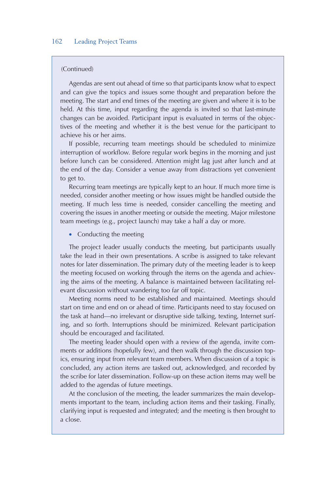#### (Continued)

Agendas are sent out ahead of time so that participants know what to expect and can give the topics and issues some thought and preparation before the meeting. The start and end times of the meeting are given and where it is to be held. At this time, input regarding the agenda is invited so that last-minute changes can be avoided. Participant input is evaluated in terms of the objectives of the meeting and whether it is the best venue for the participant to achieve his or her aims.

If possible, recurring team meetings should be scheduled to minimize interruption of workflow. Before regular work begins in the morning and just before lunch can be considered. Attention might lag just after lunch and at the end of the day. Consider a venue away from distractions yet convenient to get to.

Recurring team meetings are typically kept to an hour. If much more time is needed, consider another meeting or how issues might be handled outside the meeting. If much less time is needed, consider cancelling the meeting and covering the issues in another meeting or outside the meeting. Major milestone team meetings (e.g., project launch) may take a half a day or more.

• Conducting the meeting

The project leader usually conducts the meeting, but participants usually take the lead in their own presentations. A scribe is assigned to take relevant notes for later dissemination. The primary duty of the meeting leader is to keep the meeting focused on working through the items on the agenda and achieving the aims of the meeting. A balance is maintained between facilitating relevant discussion without wandering too far off topic.

Meeting norms need to be established and maintained. Meetings should start on time and end on or ahead of time. Participants need to stay focused on the task at hand—no irrelevant or disruptive side talking, texting, Internet surfing, and so forth. Interruptions should be minimized. Relevant participation should be encouraged and facilitated.

The meeting leader should open with a review of the agenda, invite comments or additions (hopefully few), and then walk through the discussion topics, ensuring input from relevant team members. When discussion of a topic is concluded, any action items are tasked out, acknowledged, and recorded by the scribe for later dissemination. Follow-up on these action items may well be added to the agendas of future meetings.

At the conclusion of the meeting, the leader summarizes the main developments important to the team, including action items and their tasking. Finally, clarifying input is requested and integrated; and the meeting is then brought to a close.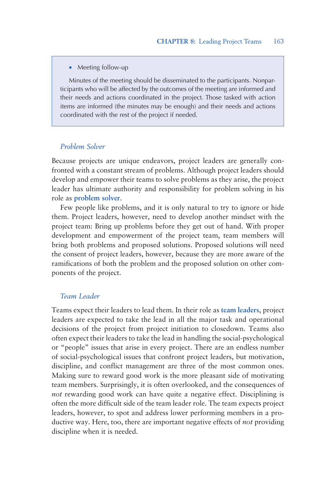• Meeting follow-up

Minutes of the meeting should be disseminated to the participants. Nonparticipants who will be affected by the outcomes of the meeting are informed and their needs and actions coordinated in the project. Those tasked with action items are informed (the minutes may be enough) and their needs and actions coordinated with the rest of the project if needed.

# *Problem Solver*

Because projects are unique endeavors, project leaders are generally confronted with a constant stream of problems. Although project leaders should develop and empower their teams to solve problems as they arise, the project leader has ultimate authority and responsibility for problem solving in his role as **problem solver**.

Few people like problems, and it is only natural to try to ignore or hide them. Project leaders, however, need to develop another mindset with the project team: Bring up problems before they get out of hand. With proper development and empowerment of the project team, team members will bring both problems and proposed solutions. Proposed solutions will need the consent of project leaders, however, because they are more aware of the ramifications of both the problem and the proposed solution on other components of the project.

# *Team Leader*

Teams expect their leaders to lead them. In their role as **team leaders**, project leaders are expected to take the lead in all the major task and operational decisions of the project from project initiation to closedown. Teams also often expect their leaders to take the lead in handling the social-psychological or "people" issues that arise in every project. There are an endless number of social-psychological issues that confront project leaders, but motivation, discipline, and conflict management are three of the most common ones. Making sure to reward good work is the more pleasant side of motivating team members. Surprisingly, it is often overlooked, and the consequences of *not* rewarding good work can have quite a negative effect. Disciplining is often the more difficult side of the team leader role. The team expects project leaders, however, to spot and address lower performing members in a productive way. Here, too, there are important negative effects of *not* providing discipline when it is needed.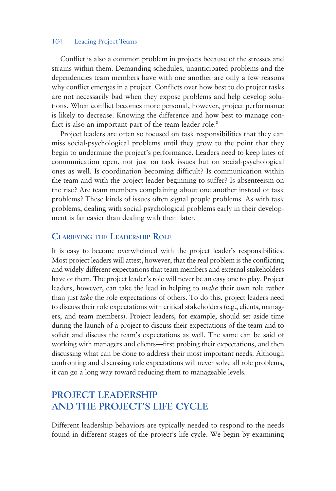Conflict is also a common problem in projects because of the stresses and strains within them. Demanding schedules, unanticipated problems and the dependencies team members have with one another are only a few reasons why conflict emerges in a project. Conflicts over how best to do project tasks are not necessarily bad when they expose problems and help develop solutions. When conflict becomes more personal, however, project performance is likely to decrease. Knowing the difference and how best to manage conflict is also an important part of the team leader role.<sup>8</sup>

Project leaders are often so focused on task responsibilities that they can miss social-psychological problems until they grow to the point that they begin to undermine the project's performance. Leaders need to keep lines of communication open, not just on task issues but on social-psychological ones as well. Is coordination becoming difficult? Is communication within the team and with the project leader beginning to suffer? Is absenteeism on the rise? Are team members complaining about one another instead of task problems? These kinds of issues often signal people problems. As with task problems, dealing with social-psychological problems early in their development is far easier than dealing with them later.

# **Clarifying the Leadership Role**

It is easy to become overwhelmed with the project leader's responsibilities. Most project leaders will attest, however, that the real problem is the conflicting and widely different expectations that team members and external stakeholders have of them. The project leader's role will never be an easy one to play. Project leaders, however, can take the lead in helping to *make* their own role rather than just *take* the role expectations of others. To do this, project leaders need to discuss their role expectations with critical stakeholders (e.g., clients, managers, and team members). Project leaders, for example, should set aside time during the launch of a project to discuss their expectations of the team and to solicit and discuss the team's expectations as well. The same can be said of working with managers and clients—first probing their expectations, and then discussing what can be done to address their most important needs. Although confronting and discussing role expectations will never solve all role problems, it can go a long way toward reducing them to manageable levels.

# **PROJECT LEADERSHIP AND THE PROJECT'S LIFE CYCLE**

Different leadership behaviors are typically needed to respond to the needs found in different stages of the project's life cycle. We begin by examining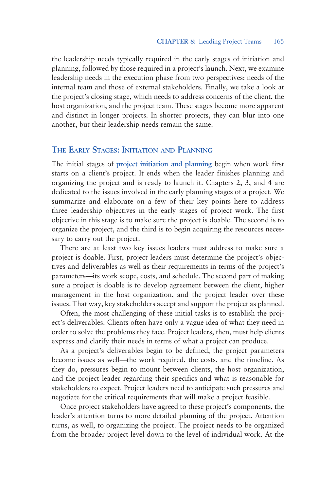the leadership needs typically required in the early stages of initiation and planning, followed by those required in a project's launch. Next, we examine leadership needs in the execution phase from two perspectives: needs of the internal team and those of external stakeholders. Finally, we take a look at the project's closing stage, which needs to address concerns of the client, the host organization, and the project team. These stages become more apparent and distinct in longer projects. In shorter projects, they can blur into one another, but their leadership needs remain the same.

# **The Early Stages: Initiation and Planning**

The initial stages of **project initiation and planning** begin when work first starts on a client's project. It ends when the leader finishes planning and organizing the project and is ready to launch it. Chapters 2, 3, and 4 are dedicated to the issues involved in the early planning stages of a project. We summarize and elaborate on a few of their key points here to address three leadership objectives in the early stages of project work. The first objective in this stage is to make sure the project is doable. The second is to organize the project, and the third is to begin acquiring the resources necessary to carry out the project.

There are at least two key issues leaders must address to make sure a project is doable. First, project leaders must determine the project's objectives and deliverables as well as their requirements in terms of the project's parameters—its work scope, costs, and schedule. The second part of making sure a project is doable is to develop agreement between the client, higher management in the host organization, and the project leader over these issues. That way, key stakeholders accept and support the project as planned.

Often, the most challenging of these initial tasks is to establish the project's deliverables. Clients often have only a vague idea of what they need in order to solve the problems they face. Project leaders, then, must help clients express and clarify their needs in terms of what a project can produce.

As a project's deliverables begin to be defined, the project parameters become issues as well—the work required, the costs, and the timeline. As they do, pressures begin to mount between clients, the host organization, and the project leader regarding their specifics and what is reasonable for stakeholders to expect. Project leaders need to anticipate such pressures and negotiate for the critical requirements that will make a project feasible.

Once project stakeholders have agreed to these project's components, the leader's attention turns to more detailed planning of the project. Attention turns, as well, to organizing the project. The project needs to be organized from the broader project level down to the level of individual work. At the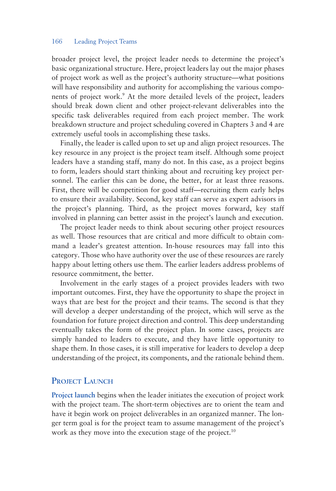broader project level, the project leader needs to determine the project's basic organizational structure. Here, project leaders lay out the major phases of project work as well as the project's authority structure—what positions will have responsibility and authority for accomplishing the various components of project work.<sup>9</sup> At the more detailed levels of the project, leaders should break down client and other project-relevant deliverables into the specific task deliverables required from each project member. The work breakdown structure and project scheduling covered in Chapters 3 and 4 are extremely useful tools in accomplishing these tasks.

Finally, the leader is called upon to set up and align project resources. The key resource in any project is the project team itself. Although some project leaders have a standing staff, many do not. In this case, as a project begins to form, leaders should start thinking about and recruiting key project personnel. The earlier this can be done, the better, for at least three reasons. First, there will be competition for good staff—recruiting them early helps to ensure their availability. Second, key staff can serve as expert advisors in the project's planning. Third, as the project moves forward, key staff involved in planning can better assist in the project's launch and execution.

The project leader needs to think about securing other project resources as well. Those resources that are critical and more difficult to obtain command a leader's greatest attention. In-house resources may fall into this category. Those who have authority over the use of these resources are rarely happy about letting others use them. The earlier leaders address problems of resource commitment, the better.

Involvement in the early stages of a project provides leaders with two important outcomes. First, they have the opportunity to shape the project in ways that are best for the project and their teams. The second is that they will develop a deeper understanding of the project, which will serve as the foundation for future project direction and control. This deep understanding eventually takes the form of the project plan. In some cases, projects are simply handed to leaders to execute, and they have little opportunity to shape them. In those cases, it is still imperative for leaders to develop a deep understanding of the project, its components, and the rationale behind them.

# **Project Launch**

**Project launch** begins when the leader initiates the execution of project work with the project team. The short-term objectives are to orient the team and have it begin work on project deliverables in an organized manner. The longer term goal is for the project team to assume management of the project's work as they move into the execution stage of the project.<sup>10</sup>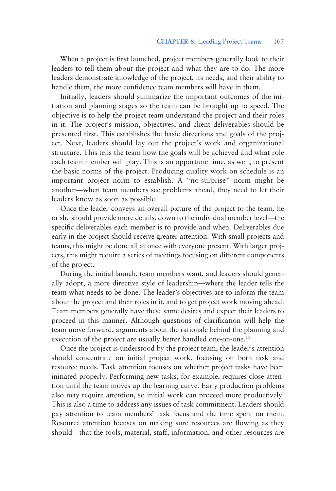When a project is first launched, project members generally look to their leaders to tell them about the project and what they are to do. The more leaders demonstrate knowledge of the project, its needs, and their ability to handle them, the more confidence team members will have in them.

Initially, leaders should summarize the important outcomes of the initiation and planning stages so the team can be brought up to speed. The objective is to help the project team understand the project and their roles in it. The project's mission, objectives, and client deliverables should be presented first. This establishes the basic directions and goals of the project. Next, leaders should lay out the project's work and organizational structure. This tells the team how the goals will be achieved and what role each team member will play. This is an opportune time, as well, to present the basic norms of the project. Producing quality work on schedule is an important project norm to establish. A "no-surprise" norm might be another—when team members see problems ahead, they need to let their leaders know as soon as possible.

Once the leader conveys an overall picture of the project to the team, he or she should provide more details, down to the individual member level—the specific deliverables each member is to provide and when. Deliverables due early in the project should receive greater attention. With small projects and teams, this might be done all at once with everyone present. With larger projects, this might require a series of meetings focusing on different components of the project.

During the initial launch, team members want, and leaders should generally adopt, a more directive style of leadership—where the leader tells the team what needs to be done. The leader's objectives are to inform the team about the project and their roles in it, and to get project work moving ahead. Team members generally have these same desires and expect their leaders to proceed in this manner. Although questions of clarification will help the team move forward, arguments about the rationale behind the planning and execution of the project are usually better handled one-on-one.<sup>11</sup>

Once the project is understood by the project team, the leader's attention should concentrate on initial project work, focusing on both task and resource needs. Task attention focuses on whether project tasks have been initiated properly. Performing new tasks, for example, requires close attention until the team moves up the learning curve. Early production problems also may require attention, so initial work can proceed more productively. This is also a time to address any issues of task commitment. Leaders should pay attention to team members' task focus and the time spent on them. Resource attention focuses on making sure resources are flowing as they should—that the tools, material, staff, information, and other resources are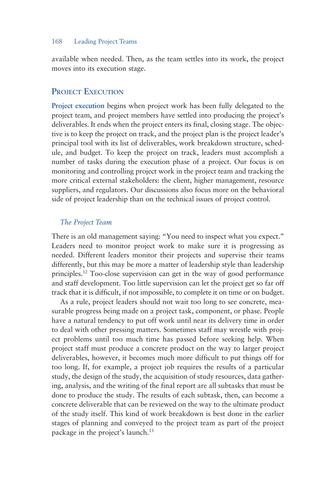available when needed. Then, as the team settles into its work, the project moves into its execution stage.

# **PROJECT EXECUTION**

**Project execution** begins when project work has been fully delegated to the project team, and project members have settled into producing the project's deliverables. It ends when the project enters its final, closing stage. The objective is to keep the project on track, and the project plan is the project leader's principal tool with its list of deliverables, work breakdown structure, schedule, and budget. To keep the project on track, leaders must accomplish a number of tasks during the execution phase of a project. Our focus is on monitoring and controlling project work in the project team and tracking the more critical external stakeholders: the client, higher management, resource suppliers, and regulators. Our discussions also focus more on the behavioral side of project leadership than on the technical issues of project control.

# *The Project Team*

There is an old management saying: "You need to inspect what you expect." Leaders need to monitor project work to make sure it is progressing as needed. Different leaders monitor their projects and supervise their teams differently, but this may be more a matter of leadership style than leadership principles.12 Too-close supervision can get in the way of good performance and staff development. Too little supervision can let the project get so far off track that it is difficult, if not impossible, to complete it on time or on budget.

As a rule, project leaders should not wait too long to see concrete, measurable progress being made on a project task, component, or phase. People have a natural tendency to put off work until near its delivery time in order to deal with other pressing matters. Sometimes staff may wrestle with project problems until too much time has passed before seeking help. When project staff must produce a concrete product on the way to larger project deliverables, however, it becomes much more difficult to put things off for too long. If, for example, a project job requires the results of a particular study, the design of the study, the acquisition of study resources, data gathering, analysis, and the writing of the final report are all subtasks that must be done to produce the study. The results of each subtask, then, can become a concrete deliverable that can be reviewed on the way to the ultimate product of the study itself. This kind of work breakdown is best done in the earlier stages of planning and conveyed to the project team as part of the project package in the project's launch.<sup>13</sup>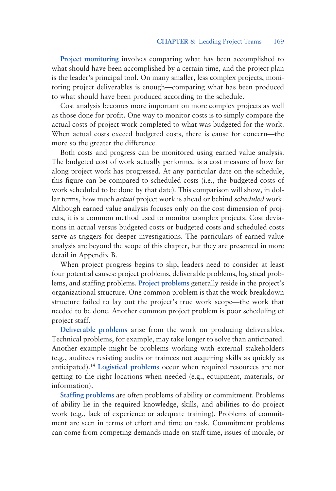**Project monitoring** involves comparing what has been accomplished to what should have been accomplished by a certain time, and the project plan is the leader's principal tool. On many smaller, less complex projects, monitoring project deliverables is enough—comparing what has been produced to what should have been produced according to the schedule.

Cost analysis becomes more important on more complex projects as well as those done for profit. One way to monitor costs is to simply compare the actual costs of project work completed to what was budgeted for the work. When actual costs exceed budgeted costs, there is cause for concern—the more so the greater the difference.

Both costs and progress can be monitored using earned value analysis. The budgeted cost of work actually performed is a cost measure of how far along project work has progressed. At any particular date on the schedule, this figure can be compared to scheduled costs (i.e., the budgeted costs of work scheduled to be done by that date). This comparison will show, in dollar terms, how much *actual* project work is ahead or behind *scheduled* work. Although earned value analysis focuses only on the cost dimension of projects, it is a common method used to monitor complex projects. Cost deviations in actual versus budgeted costs or budgeted costs and scheduled costs serve as triggers for deeper investigations. The particulars of earned value analysis are beyond the scope of this chapter, but they are presented in more detail in Appendix B.

When project progress begins to slip, leaders need to consider at least four potential causes: project problems, deliverable problems, logistical problems, and staffing problems. **Project problems** generally reside in the project's organizational structure. One common problem is that the work breakdown structure failed to lay out the project's true work scope—the work that needed to be done. Another common project problem is poor scheduling of project staff.

**Deliverable problems** arise from the work on producing deliverables. Technical problems, for example, may take longer to solve than anticipated. Another example might be problems working with external stakeholders (e.g., auditees resisting audits or trainees not acquiring skills as quickly as anticipated).14 **Logistical problems** occur when required resources are not getting to the right locations when needed (e.g., equipment, materials, or information).

**Staffing problems** are often problems of ability or commitment. Problems of ability lie in the required knowledge, skills, and abilities to do project work (e.g., lack of experience or adequate training). Problems of commitment are seen in terms of effort and time on task. Commitment problems can come from competing demands made on staff time, issues of morale, or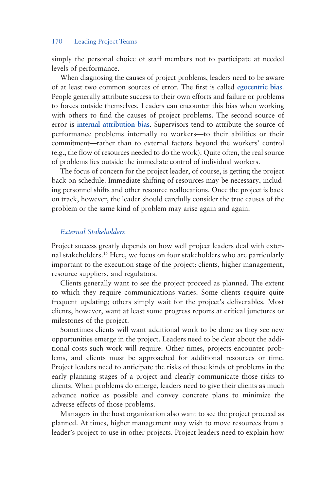simply the personal choice of staff members not to participate at needed levels of performance.

When diagnosing the causes of project problems, leaders need to be aware of at least two common sources of error. The first is called **egocentric bias**. People generally attribute success to their own efforts and failure or problems to forces outside themselves. Leaders can encounter this bias when working with others to find the causes of project problems. The second source of error is **internal attribution bias**. Supervisors tend to attribute the source of performance problems internally to workers—to their abilities or their commitment—rather than to external factors beyond the workers' control (e.g., the flow of resources needed to do the work). Quite often, the real source of problems lies outside the immediate control of individual workers.

The focus of concern for the project leader, of course, is getting the project back on schedule. Immediate shifting of resources may be necessary, including personnel shifts and other resource reallocations. Once the project is back on track, however, the leader should carefully consider the true causes of the problem or the same kind of problem may arise again and again.

# *External Stakeholders*

Project success greatly depends on how well project leaders deal with external stakeholders.15 Here, we focus on four stakeholders who are particularly important to the execution stage of the project: clients, higher management, resource suppliers, and regulators.

Clients generally want to see the project proceed as planned. The extent to which they require communications varies. Some clients require quite frequent updating; others simply wait for the project's deliverables. Most clients, however, want at least some progress reports at critical junctures or milestones of the project.

Sometimes clients will want additional work to be done as they see new opportunities emerge in the project. Leaders need to be clear about the additional costs such work will require. Other times, projects encounter problems, and clients must be approached for additional resources or time. Project leaders need to anticipate the risks of these kinds of problems in the early planning stages of a project and clearly communicate those risks to clients. When problems do emerge, leaders need to give their clients as much advance notice as possible and convey concrete plans to minimize the adverse effects of those problems.

Managers in the host organization also want to see the project proceed as planned. At times, higher management may wish to move resources from a leader's project to use in other projects. Project leaders need to explain how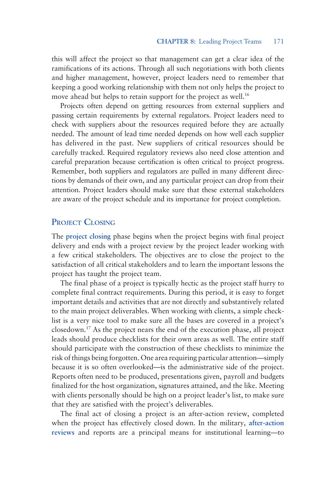this will affect the project so that management can get a clear idea of the ramifications of its actions. Through all such negotiations with both clients and higher management, however, project leaders need to remember that keeping a good working relationship with them not only helps the project to move ahead but helps to retain support for the project as well.<sup>16</sup>

Projects often depend on getting resources from external suppliers and passing certain requirements by external regulators. Project leaders need to check with suppliers about the resources required before they are actually needed. The amount of lead time needed depends on how well each supplier has delivered in the past. New suppliers of critical resources should be carefully tracked. Required regulatory reviews also need close attention and careful preparation because certification is often critical to project progress. Remember, both suppliers and regulators are pulled in many different directions by demands of their own, and any particular project can drop from their attention. Project leaders should make sure that these external stakeholders are aware of the project schedule and its importance for project completion.

# PROJECT CLOSING

The **project closing** phase begins when the project begins with final project delivery and ends with a project review by the project leader working with a few critical stakeholders. The objectives are to close the project to the satisfaction of all critical stakeholders and to learn the important lessons the project has taught the project team.

The final phase of a project is typically hectic as the project staff hurry to complete final contract requirements. During this period, it is easy to forget important details and activities that are not directly and substantively related to the main project deliverables. When working with clients, a simple checklist is a very nice tool to make sure all the bases are covered in a project's closedown.17 As the project nears the end of the execution phase, all project leads should produce checklists for their own areas as well. The entire staff should participate with the construction of these checklists to minimize the risk of things being forgotten. One area requiring particular attention—simply because it is so often overlooked—is the administrative side of the project. Reports often need to be produced, presentations given, payroll and budgets finalized for the host organization, signatures attained, and the like. Meeting with clients personally should be high on a project leader's list, to make sure that they are satisfied with the project's deliverables.

The final act of closing a project is an after-action review, completed when the project has effectively closed down. In the military, **after-action reviews** and reports are a principal means for institutional learning—to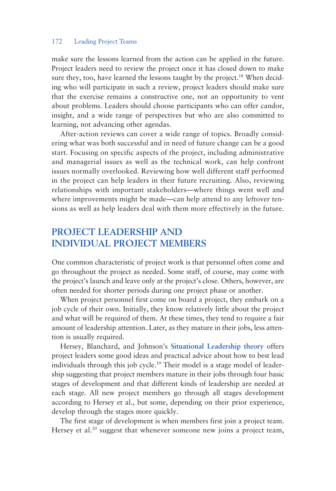make sure the lessons learned from the action can be applied in the future. Project leaders need to review the project once it has closed down to make sure they, too, have learned the lessons taught by the project.<sup>18</sup> When deciding who will participate in such a review, project leaders should make sure that the exercise remains a constructive one, not an opportunity to vent about problems. Leaders should choose participants who can offer candor, insight, and a wide range of perspectives but who are also committed to learning, not advancing other agendas.

After-action reviews can cover a wide range of topics. Broadly considering what was both successful and in need of future change can be a good start. Focusing on specific aspects of the project, including administrative and managerial issues as well as the technical work, can help confront issues normally overlooked. Reviewing how well different staff performed in the project can help leaders in their future recruiting. Also, reviewing relationships with important stakeholders—where things went well and where improvements might be made—can help attend to any leftover tensions as well as help leaders deal with them more effectively in the future.

# **PROJECT LEADERSHIP AND INDIVIDUAL PROJECT MEMBERS**

One common characteristic of project work is that personnel often come and go throughout the project as needed. Some staff, of course, may come with the project's launch and leave only at the project's close. Others, however, are often needed for shorter periods during one project phase or another.

When project personnel first come on board a project, they embark on a job cycle of their own. Initially, they know relatively little about the project and what will be required of them. At these times, they tend to require a fair amount of leadership attention. Later, as they mature in their jobs, less attention is usually required.

Hersey, Blanchard, and Johnson's **Situational Leadership theory** offers project leaders some good ideas and practical advice about how to best lead individuals through this job cycle.<sup>19</sup> Their model is a stage model of leadership suggesting that project members mature in their jobs through four basic stages of development and that different kinds of leadership are needed at each stage. All new project members go through all stages development according to Hersey et al., but some, depending on their prior experience, develop through the stages more quickly.

The first stage of development is when members first join a project team. Hersey et al.<sup>20</sup> suggest that whenever someone new joins a project team,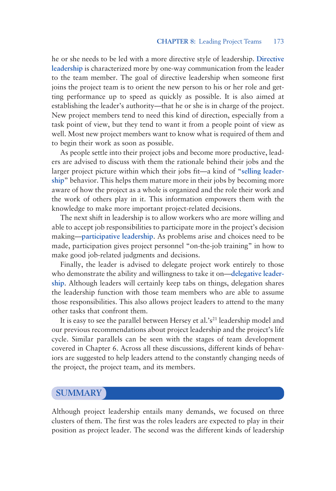he or she needs to be led with a more directive style of leadership. **Directive leadership** is characterized more by one-way communication from the leader to the team member. The goal of directive leadership when someone first joins the project team is to orient the new person to his or her role and getting performance up to speed as quickly as possible. It is also aimed at establishing the leader's authority—that he or she is in charge of the project. New project members tend to need this kind of direction, especially from a task point of view, but they tend to want it from a people point of view as well. Most new project members want to know what is required of them and to begin their work as soon as possible.

As people settle into their project jobs and become more productive, leaders are advised to discuss with them the rationale behind their jobs and the larger project picture within which their jobs fit—a kind of "**selling leadership**" behavior. This helps them mature more in their jobs by becoming more aware of how the project as a whole is organized and the role their work and the work of others play in it. This information empowers them with the knowledge to make more important project-related decisions.

The next shift in leadership is to allow workers who are more willing and able to accept job responsibilities to participate more in the project's decision making—**participative leadership**. As problems arise and choices need to be made, participation gives project personnel "on-the-job training" in how to make good job-related judgments and decisions.

Finally, the leader is advised to delegate project work entirely to those who demonstrate the ability and willingness to take it on—**delegative leadership**. Although leaders will certainly keep tabs on things, delegation shares the leadership function with those team members who are able to assume those responsibilities. This also allows project leaders to attend to the many other tasks that confront them.

It is easy to see the parallel between Hersey et al.'s<sup>21</sup> leadership model and our previous recommendations about project leadership and the project's life cycle. Similar parallels can be seen with the stages of team development covered in Chapter 6. Across all these discussions, different kinds of behaviors are suggested to help leaders attend to the constantly changing needs of the project, the project team, and its members.

# **SUMMARY**

Although project leadership entails many demands, we focused on three clusters of them. The first was the roles leaders are expected to play in their position as project leader. The second was the different kinds of leadership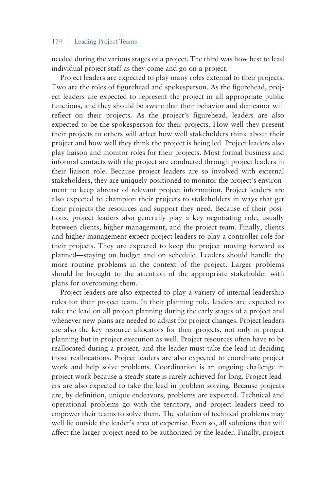needed during the various stages of a project. The third was how best to lead individual project staff as they come and go on a project.

Project leaders are expected to play many roles external to their projects. Two are the roles of figurehead and spokesperson. As the figurehead, project leaders are expected to represent the project in all appropriate public functions, and they should be aware that their behavior and demeanor will reflect on their projects. As the project's figurehead, leaders are also expected to be the spokesperson for their projects. How well they present their projects to others will affect how well stakeholders think about their project and how well they think the project is being led. Project leaders also play liaison and monitor roles for their projects. Most formal business and informal contacts with the project are conducted through project leaders in their liaison role. Because project leaders are so involved with external stakeholders, they are uniquely positioned to monitor the project's environment to keep abreast of relevant project information. Project leaders are also expected to champion their projects to stakeholders in ways that get their projects the resources and support they need. Because of their positions, project leaders also generally play a key negotiating role, usually between clients, higher management, and the project team. Finally, clients and higher management expect project leaders to play a controller role for their projects. They are expected to keep the project moving forward as planned—staying on budget and on schedule. Leaders should handle the more routine problems in the context of the project. Larger problems should be brought to the attention of the appropriate stakeholder with plans for overcoming them.

Project leaders are also expected to play a variety of internal leadership roles for their project team. In their planning role, leaders are expected to take the lead on all project planning during the early stages of a project and whenever new plans are needed to adjust for project changes. Project leaders are also the key resource allocators for their projects, not only in project planning but in project execution as well. Project resources often have to be reallocated during a project, and the leader must take the lead in deciding those reallocations. Project leaders are also expected to coordinate project work and help solve problems. Coordination is an ongoing challenge in project work because a steady state is rarely achieved for long. Project leaders are also expected to take the lead in problem solving. Because projects are, by definition, unique endeavors, problems are expected. Technical and operational problems go with the territory, and project leaders need to empower their teams to solve them. The solution of technical problems may well lie outside the leader's area of expertise. Even so, all solutions that will affect the larger project need to be authorized by the leader. Finally, project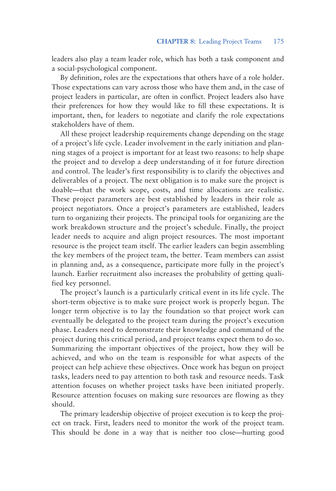leaders also play a team leader role, which has both a task component and a social-psychological component.

By definition, roles are the expectations that others have of a role holder. Those expectations can vary across those who have them and, in the case of project leaders in particular, are often in conflict. Project leaders also have their preferences for how they would like to fill these expectations. It is important, then, for leaders to negotiate and clarify the role expectations stakeholders have of them.

All these project leadership requirements change depending on the stage of a project's life cycle. Leader involvement in the early initiation and planning stages of a project is important for at least two reasons: to help shape the project and to develop a deep understanding of it for future direction and control. The leader's first responsibility is to clarify the objectives and deliverables of a project. The next obligation is to make sure the project is doable—that the work scope, costs, and time allocations are realistic. These project parameters are best established by leaders in their role as project negotiators. Once a project's parameters are established, leaders turn to organizing their projects. The principal tools for organizing are the work breakdown structure and the project's schedule. Finally, the project leader needs to acquire and align project resources. The most important resource is the project team itself. The earlier leaders can begin assembling the key members of the project team, the better. Team members can assist in planning and, as a consequence, participate more fully in the project's launch. Earlier recruitment also increases the probability of getting qualified key personnel.

The project's launch is a particularly critical event in its life cycle. The short-term objective is to make sure project work is properly begun. The longer term objective is to lay the foundation so that project work can eventually be delegated to the project team during the project's execution phase. Leaders need to demonstrate their knowledge and command of the project during this critical period, and project teams expect them to do so. Summarizing the important objectives of the project, how they will be achieved, and who on the team is responsible for what aspects of the project can help achieve these objectives. Once work has begun on project tasks, leaders need to pay attention to both task and resource needs. Task attention focuses on whether project tasks have been initiated properly. Resource attention focuses on making sure resources are flowing as they should.

The primary leadership objective of project execution is to keep the project on track. First, leaders need to monitor the work of the project team. This should be done in a way that is neither too close—hurting good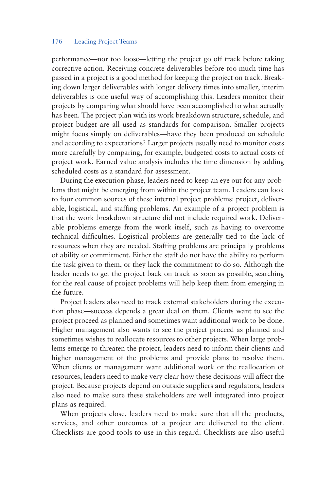performance—nor too loose—letting the project go off track before taking corrective action. Receiving concrete deliverables before too much time has passed in a project is a good method for keeping the project on track. Breaking down larger deliverables with longer delivery times into smaller, interim deliverables is one useful way of accomplishing this. Leaders monitor their projects by comparing what should have been accomplished to what actually has been. The project plan with its work breakdown structure, schedule, and project budget are all used as standards for comparison. Smaller projects might focus simply on deliverables—have they been produced on schedule and according to expectations? Larger projects usually need to monitor costs more carefully by comparing, for example, budgeted costs to actual costs of project work. Earned value analysis includes the time dimension by adding scheduled costs as a standard for assessment.

During the execution phase, leaders need to keep an eye out for any problems that might be emerging from within the project team. Leaders can look to four common sources of these internal project problems: project, deliverable, logistical, and staffing problems. An example of a project problem is that the work breakdown structure did not include required work. Deliverable problems emerge from the work itself, such as having to overcome technical difficulties. Logistical problems are generally tied to the lack of resources when they are needed. Staffing problems are principally problems of ability or commitment. Either the staff do not have the ability to perform the task given to them, or they lack the commitment to do so. Although the leader needs to get the project back on track as soon as possible, searching for the real cause of project problems will help keep them from emerging in the future.

Project leaders also need to track external stakeholders during the execution phase—success depends a great deal on them. Clients want to see the project proceed as planned and sometimes want additional work to be done. Higher management also wants to see the project proceed as planned and sometimes wishes to reallocate resources to other projects. When large problems emerge to threaten the project, leaders need to inform their clients and higher management of the problems and provide plans to resolve them. When clients or management want additional work or the reallocation of resources, leaders need to make very clear how these decisions will affect the project. Because projects depend on outside suppliers and regulators, leaders also need to make sure these stakeholders are well integrated into project plans as required.

When projects close, leaders need to make sure that all the products, services, and other outcomes of a project are delivered to the client. Checklists are good tools to use in this regard. Checklists are also useful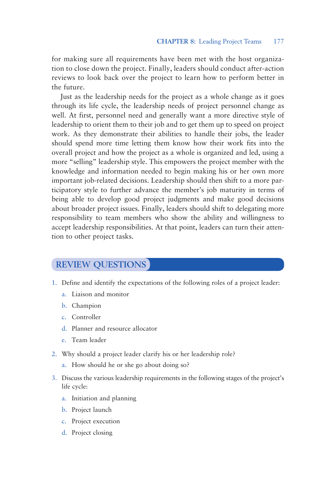for making sure all requirements have been met with the host organization to close down the project. Finally, leaders should conduct after-action reviews to look back over the project to learn how to perform better in the future.

Just as the leadership needs for the project as a whole change as it goes through its life cycle, the leadership needs of project personnel change as well. At first, personnel need and generally want a more directive style of leadership to orient them to their job and to get them up to speed on project work. As they demonstrate their abilities to handle their jobs, the leader should spend more time letting them know how their work fits into the overall project and how the project as a whole is organized and led, using a more "selling" leadership style. This empowers the project member with the knowledge and information needed to begin making his or her own more important job-related decisions. Leadership should then shift to a more participatory style to further advance the member's job maturity in terms of being able to develop good project judgments and make good decisions about broader project issues. Finally, leaders should shift to delegating more responsibility to team members who show the ability and willingness to accept leadership responsibilities. At that point, leaders can turn their attention to other project tasks.

# **REVIEW QUESTIONS**

- 1. Define and identify the expectations of the following roles of a project leader:
	- a. Liaison and monitor
	- b. Champion
	- c. Controller
	- d. Planner and resource allocator
	- e. Team leader
- 2. Why should a project leader clarify his or her leadership role?
	- a. How should he or she go about doing so?
- 3. Discuss the various leadership requirements in the following stages of the project's life cycle:
	- a. Initiation and planning
	- b. Project launch
	- c. Project execution
	- d. Project closing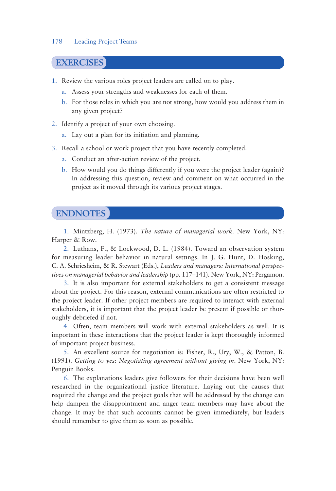# **EXERCISES**

- 1. Review the various roles project leaders are called on to play.
	- a. Assess your strengths and weaknesses for each of them.
	- b. For those roles in which you are not strong, how would you address them in any given project?
- 2. Identify a project of your own choosing.
	- a. Lay out a plan for its initiation and planning.
- 3. Recall a school or work project that you have recently completed.
	- a. Conduct an after-action review of the project.
	- b. How would you do things differently if you were the project leader (again)? In addressing this question, review and comment on what occurred in the project as it moved through its various project stages.

# **ENDNOTES**

1. Mintzberg, H. (1973). *The nature of managerial work*. New York, NY: Harper & Row.

2. Luthans, F., & Lockwood, D. L. (1984). Toward an observation system for measuring leader behavior in natural settings. In J. G. Hunt, D. Hosking, C. A. Schriesheim, & R. Stewart (Eds.), *Leaders and managers: International perspectives on managerial behavior and leadership* (pp. 117–141). New York, NY: Pergamon.

3. It is also important for external stakeholders to get a consistent message about the project. For this reason, external communications are often restricted to the project leader. If other project members are required to interact with external stakeholders, it is important that the project leader be present if possible or thoroughly debriefed if not.

4. Often, team members will work with external stakeholders as well. It is important in these interactions that the project leader is kept thoroughly informed of important project business.

5. An excellent source for negotiation is: Fisher, R., Ury, W., & Patton, B. (1991). *Getting to yes: Negotiating agreement without giving in*. New York, NY: Penguin Books.

6. The explanations leaders give followers for their decisions have been well researched in the organizational justice literature. Laying out the causes that required the change and the project goals that will be addressed by the change can help dampen the disappointment and anger team members may have about the change. It may be that such accounts cannot be given immediately, but leaders should remember to give them as soon as possible.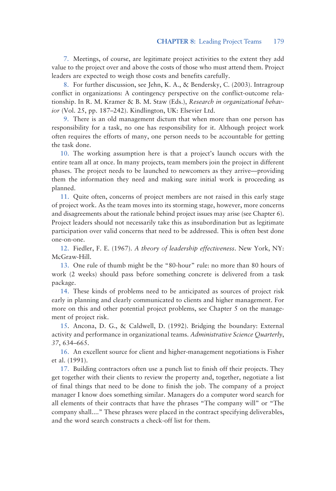7. Meetings, of course, are legitimate project activities to the extent they add value to the project over and above the costs of those who must attend them. Project leaders are expected to weigh those costs and benefits carefully.

8. For further discussion, see Jehn, K. A., & Bendersky, C. (2003). Intragroup conflict in organizations: A contingency perspective on the conflict-outcome relationship. In R. M. Kramer & B. M. Staw (Eds.), *Research in organizational behavior* (Vol. 25, pp. 187–242). Kindlington, UK: Elsevier Ltd.

9. There is an old management dictum that when more than one person has responsibility for a task, no one has responsibility for it. Although project work often requires the efforts of many, one person needs to be accountable for getting the task done.

10. The working assumption here is that a project's launch occurs with the entire team all at once. In many projects, team members join the project in different phases. The project needs to be launched to newcomers as they arrive—providing them the information they need and making sure initial work is proceeding as planned.

11. Quite often, concerns of project members are not raised in this early stage of project work. As the team moves into its storming stage, however, more concerns and disagreements about the rationale behind project issues may arise (see Chapter 6). Project leaders should not necessarily take this as insubordination but as legitimate participation over valid concerns that need to be addressed. This is often best done one-on-one.

12. Fiedler, F. E. (1967). *A theory of leadership effectiveness*. New York, NY: McGraw-Hill.

13. One rule of thumb might be the "80-hour" rule: no more than 80 hours of work (2 weeks) should pass before something concrete is delivered from a task package.

14. These kinds of problems need to be anticipated as sources of project risk early in planning and clearly communicated to clients and higher management. For more on this and other potential project problems, see Chapter 5 on the management of project risk.

15. Ancona, D. G., & Caldwell, D. (1992). Bridging the boundary: External activity and performance in organizational teams. *Administrative Science Quarterly*, *37*, 634–665.

16. An excellent source for client and higher-management negotiations is Fisher et al. (1991).

17. Building contractors often use a punch list to finish off their projects. They get together with their clients to review the property and, together, negotiate a list of final things that need to be done to finish the job. The company of a project manager I know does something similar. Managers do a computer word search for all elements of their contracts that have the phrases "The company will" or "The company shall...." These phrases were placed in the contract specifying deliverables, and the word search constructs a check-off list for them.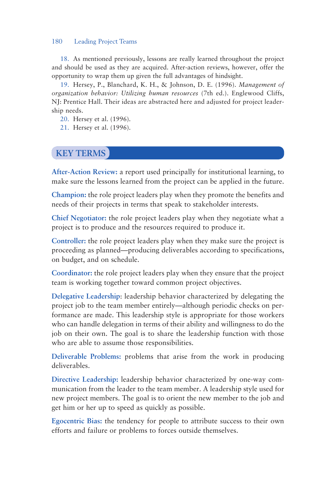18. As mentioned previously, lessons are really learned throughout the project and should be used as they are acquired. After-action reviews, however, offer the opportunity to wrap them up given the full advantages of hindsight.

19. Hersey, P., Blanchard, K. H., & Johnson, D. E. (1996). *Management of organization behavior: Utilizing human resources* (7th ed.). Englewood Cliffs, NJ: Prentice Hall. Their ideas are abstracted here and adjusted for project leadership needs.

20. Hersey et al. (1996).

21. Hersey et al. (1996).

# **KEY TERMS**

**After-Action Review:** a report used principally for institutional learning, to make sure the lessons learned from the project can be applied in the future.

**Champion:** the role project leaders play when they promote the benefits and needs of their projects in terms that speak to stakeholder interests.

**Chief Negotiator:** the role project leaders play when they negotiate what a project is to produce and the resources required to produce it.

**Controller:** the role project leaders play when they make sure the project is proceeding as planned—producing deliverables according to specifications, on budget, and on schedule.

**Coordinator:** the role project leaders play when they ensure that the project team is working together toward common project objectives.

**Delegative Leadership**: leadership behavior characterized by delegating the project job to the team member entirely—although periodic checks on performance are made. This leadership style is appropriate for those workers who can handle delegation in terms of their ability and willingness to do the job on their own. The goal is to share the leadership function with those who are able to assume those responsibilities.

**Deliverable Problems:** problems that arise from the work in producing deliverables.

**Directive Leadership:** leadership behavior characterized by one-way communication from the leader to the team member. A leadership style used for new project members. The goal is to orient the new member to the job and get him or her up to speed as quickly as possible.

**Egocentric Bias:** the tendency for people to attribute success to their own efforts and failure or problems to forces outside themselves.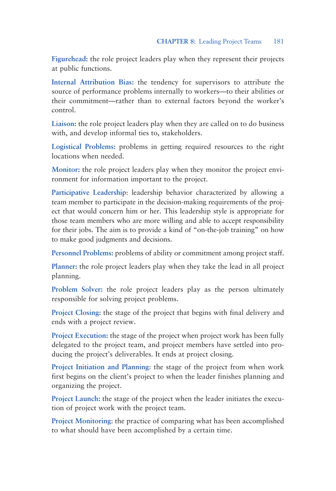**Figurehead:** the role project leaders play when they represent their projects at public functions.

**Internal Attribution Bias:** the tendency for supervisors to attribute the source of performance problems internally to workers—to their abilities or their commitment—rather than to external factors beyond the worker's control.

**Liaison:** the role project leaders play when they are called on to do business with, and develop informal ties to, stakeholders.

**Logistical Problems:** problems in getting required resources to the right locations when needed.

**Monitor:** the role project leaders play when they monitor the project environment for information important to the project.

**Participative Leadership**: leadership behavior characterized by allowing a team member to participate in the decision-making requirements of the project that would concern him or her. This leadership style is appropriate for those team members who are more willing and able to accept responsibility for their jobs. The aim is to provide a kind of "on-the-job training" on how to make good judgments and decisions.

**Personnel Problems:** problems of ability or commitment among project staff.

**Planner:** the role project leaders play when they take the lead in all project planning.

**Problem Solver:** the role project leaders play as the person ultimately responsible for solving project problems.

**Project Closing:** the stage of the project that begins with final delivery and ends with a project review.

**Project Execution:** the stage of the project when project work has been fully delegated to the project team, and project members have settled into producing the project's deliverables. It ends at project closing.

**Project Initiation and Planning**: the stage of the project from when work first begins on the client's project to when the leader finishes planning and organizing the project.

**Project Launch:** the stage of the project when the leader initiates the execution of project work with the project team.

**Project Monitoring**: the practice of comparing what has been accomplished to what should have been accomplished by a certain time.